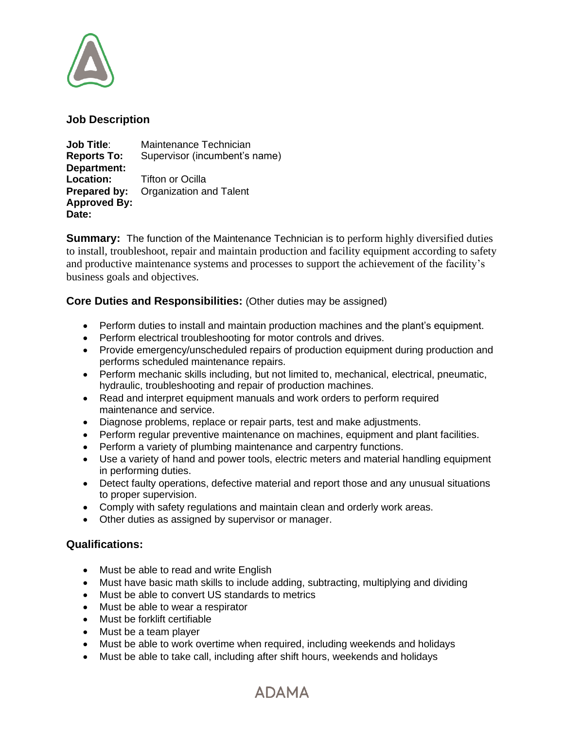

#### **Job Description**

**Job Title**: Maintenance Technician **Reports To:** Supervisor (incumbent's name) **Department: Location:** Tifton or Ocilla **Prepared by:** Organization and Talent **Approved By: Date:**

**Summary:** The function of the Maintenance Technician is to perform highly diversified duties to install, troubleshoot, repair and maintain production and facility equipment according to safety and productive maintenance systems and processes to support the achievement of the facility's business goals and objectives.

## **Core Duties and Responsibilities:** (Other duties may be assigned)

- Perform duties to install and maintain production machines and the plant's equipment.
- Perform electrical troubleshooting for motor controls and drives.
- Provide emergency/unscheduled repairs of production equipment during production and performs scheduled maintenance repairs.
- Perform mechanic skills including, but not limited to, mechanical, electrical, pneumatic, hydraulic, troubleshooting and repair of production machines.
- Read and interpret equipment manuals and work orders to perform required maintenance and service.
- Diagnose problems, replace or repair parts, test and make adjustments.
- Perform regular preventive maintenance on machines, equipment and plant facilities.
- Perform a variety of plumbing maintenance and carpentry functions.
- Use a variety of hand and power tools, electric meters and material handling equipment in performing duties.
- Detect faulty operations, defective material and report those and any unusual situations to proper supervision.
- Comply with safety regulations and maintain clean and orderly work areas.
- Other duties as assigned by supervisor or manager.

## **Qualifications:**

- Must be able to read and write English
- Must have basic math skills to include adding, subtracting, multiplying and dividing
- Must be able to convert US standards to metrics
- Must be able to wear a respirator
- Must be forklift certifiable
- Must be a team player
- Must be able to work overtime when required, including weekends and holidays
- Must be able to take call, including after shift hours, weekends and holidays

# **ADAMA**